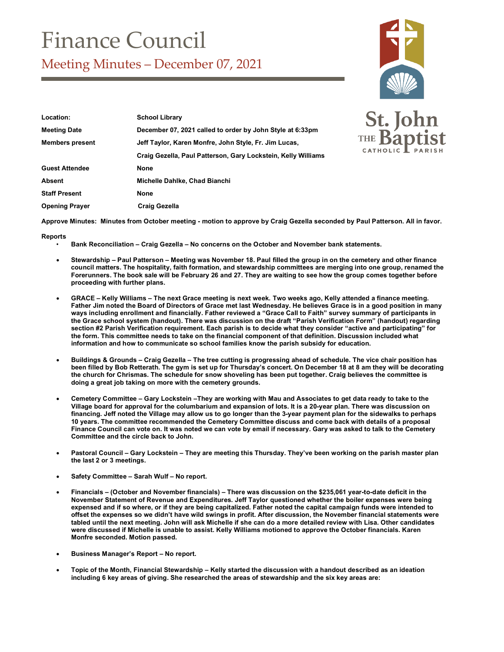## Finance Council

Meeting Minutes – December 07, 2021



| Location:              | <b>School Library</b>                                         |
|------------------------|---------------------------------------------------------------|
| <b>Meeting Date</b>    | December 07, 2021 called to order by John Style at 6:33pm     |
| <b>Members present</b> | Jeff Taylor, Karen Monfre, John Style, Fr. Jim Lucas,         |
|                        | Craig Gezella, Paul Patterson, Gary Lockstein, Kelly Williams |
| <b>Guest Attendee</b>  | <b>None</b>                                                   |
| Absent                 | Michelle Dahlke, Chad Bianchi                                 |
| <b>Staff Present</b>   | <b>None</b>                                                   |
| <b>Opening Prayer</b>  | <b>Craig Gezella</b>                                          |



**Approve Minutes: Minutes from October meeting - motion to approve by Craig Gezella seconded by Paul Patterson. All in favor.** 

## **Reports**

- **Bank Reconciliation – Craig Gezella – No concerns on the October and November bank statements.**
- **Stewardship – Paul Patterson – Meeting was November 18. Paul filled the group in on the cemetery and other finance council matters. The hospitality, faith formation, and stewardship committees are merging into one group, renamed the Forerunners. The book sale will be February 26 and 27. They are waiting to see how the group comes together before proceeding with further plans.**
- **GRACE – Kelly Williams – The next Grace meeting is next week. Two weeks ago, Kelly attended a finance meeting. Father Jim noted the Board of Directors of Grace met last Wednesday. He believes Grace is in a good position in many ways including enrollment and financially. Father reviewed a "Grace Call to Faith" survey summary of participants in the Grace school system (handout). There was discussion on the draft "Parish Verification Form" (handout) regarding section #2 Parish Verification requirement. Each parish is to decide what they consider "active and participating" for the form. This committee needs to take on the financial component of that definition. Discussion included what information and how to communicate so school families know the parish subsidy for education.**
- **Buildings & Grounds – Craig Gezella – The tree cutting is progressing ahead of schedule. The vice chair position has been filled by Bob Retterath. The gym is set up for Thursday's concert. On December 18 at 8 am they will be decorating the church for Chrismas. The schedule for snow shoveling has been put together. Craig believes the committee is doing a great job taking on more with the cemetery grounds.**
- **Cemetery Committee – Gary Lockstein –They are working with Mau and Associates to get data ready to take to the Village board for approval for the columbarium and expansion of lots. It is a 20-year plan. There was discussion on financing. Jeff noted the Village may allow us to go longer than the 3-year payment plan for the sidewalks to perhaps 10 years. The committee recommended the Cemetery Committee discuss and come back with details of a proposal Finance Council can vote on. It was noted we can vote by email if necessary. Gary was asked to talk to the Cemetery Committee and the circle back to John.**
- **Pastoral Council – Gary Lockstein – They are meeting this Thursday. They've been working on the parish master plan the last 2 or 3 meetings.**
- **Safety Committee – Sarah Wulf – No report.**
- **Financials – (October and November financials) – There was discussion on the \$235,061 year-to-date deficit in the November Statement of Revenue and Expenditures. Jeff Taylor questioned whether the boiler expenses were being expensed and if so where, or if they are being capitalized. Father noted the capital campaign funds were intended to offset the expenses so we didn't have wild swings in profit. After discussion, the November financial statements were tabled until the next meeting. John will ask Michelle if she can do a more detailed review with Lisa. Other candidates were discussed if Michelle is unable to assist. Kelly Williams motioned to approve the October financials. Karen Monfre seconded. Motion passed.**
- **Business Manager's Report – No report.**
- **Topic of the Month, Financial Stewardship – Kelly started the discussion with a handout described as an ideation including 6 key areas of giving. She researched the areas of stewardship and the six key areas are:**